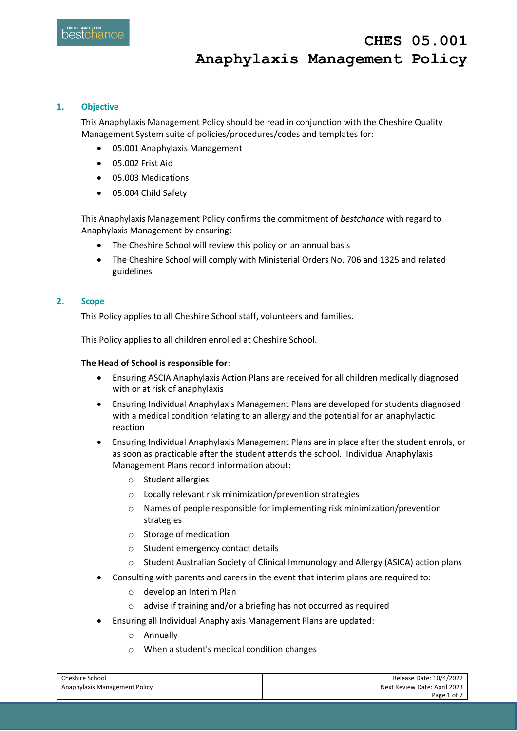## **1. Objective**

This Anaphylaxis Management Policy should be read in conjunction with the Cheshire Quality Management System suite of policies/procedures/codes and templates for:

- 05.001 Anaphylaxis Management
- 05.002 Frist Aid
- 05.003 Medications
- 05.004 Child Safety

This Anaphylaxis Management Policy confirms the commitment of *bestchance* with regard to Anaphylaxis Management by ensuring:

- The Cheshire School will review this policy on an annual basis
- The Cheshire School will comply with Ministerial Orders No. 706 and 1325 and related guidelines

### **2. Scope**

This Policy applies to all Cheshire School staff, volunteers and families.

This Policy applies to all children enrolled at Cheshire School.

#### **The Head of School is responsible for**:

- Ensuring ASCIA Anaphylaxis Action Plans are received for all children medically diagnosed with or at risk of anaphylaxis
- Ensuring Individual Anaphylaxis Management Plans are developed for students diagnosed with a medical condition relating to an allergy and the potential for an anaphylactic reaction
- Ensuring Individual Anaphylaxis Management Plans are in place after the student enrols, or as soon as practicable after the student attends the school. Individual Anaphylaxis Management Plans record information about:
	- o Student allergies
	- o Locally relevant risk minimization/prevention strategies
	- o Names of people responsible for implementing risk minimization/prevention strategies
	- o Storage of medication
	- o Student emergency contact details
	- o Student Australian Society of Clinical Immunology and Allergy (ASICA) action plans
- Consulting with parents and carers in the event that interim plans are required to:
	- o develop an Interim Plan
	- o advise if training and/or a briefing has not occurred as required
- Ensuring all Individual Anaphylaxis Management Plans are updated:
	- o Annually
	- o When a student's medical condition changes

| Cheshire School               | Release Date: 10/4/2022      |
|-------------------------------|------------------------------|
| Anaphylaxis Management Policy | Next Review Date: April 2023 |
|                               | Page 1 of 7                  |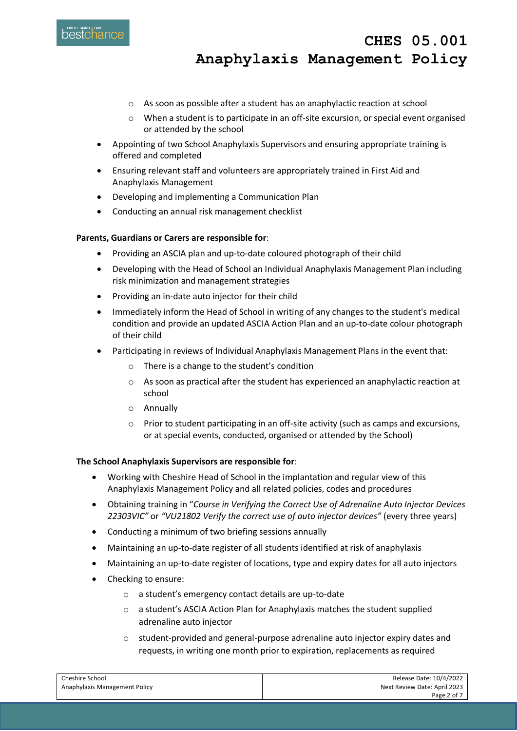

- o As soon as possible after a student has an anaphylactic reaction at school
- o When a student is to participate in an off-site excursion, or special event organised or attended by the school
- Appointing of two School Anaphylaxis Supervisors and ensuring appropriate training is offered and completed
- Ensuring relevant staff and volunteers are appropriately trained in First Aid and Anaphylaxis Management
- Developing and implementing a Communication Plan
- Conducting an annual risk management checklist

#### **Parents, Guardians or Carers are responsible for**:

- Providing an ASCIA plan and up-to-date coloured photograph of their child
- Developing with the Head of School an Individual Anaphylaxis Management Plan including risk minimization and management strategies
- Providing an in-date auto injector for their child
- Immediately inform the Head of School in writing of any changes to the student's medical condition and provide an updated ASCIA Action Plan and an up-to-date colour photograph of their child
- Participating in reviews of Individual Anaphylaxis Management Plans in the event that:
	- o There is a change to the student's condition
	- o As soon as practical after the student has experienced an anaphylactic reaction at school
	- o Annually
	- $\circ$  Prior to student participating in an off-site activity (such as camps and excursions, or at special events, conducted, organised or attended by the School)

#### **The School Anaphylaxis Supervisors are responsible for**:

- Working with Cheshire Head of School in the implantation and regular view of this Anaphylaxis Management Policy and all related policies, codes and procedures
- Obtaining training in "*Course in Verifying the Correct Use of Adrenaline Auto Injector Devices 22303VIC"* or *"VU21802 Verify the correct use of auto injector devices"* (every three years)
- Conducting a minimum of two briefing sessions annually
- Maintaining an up-to-date register of all students identified at risk of anaphylaxis
- Maintaining an up-to-date register of locations, type and expiry dates for all auto injectors
- Checking to ensure:
	- o a student's emergency contact details are up-to-date
	- o a student's ASCIA Action Plan for Anaphylaxis matches the student supplied adrenaline auto injector
	- o student-provided and general-purpose adrenaline auto injector expiry dates and requests, in writing one month prior to expiration, replacements as required

| Cheshire School               | Release Date: 10/4/2022      |
|-------------------------------|------------------------------|
| Anaphylaxis Management Policy | Next Review Date: April 2023 |
|                               | Page 2 of 7                  |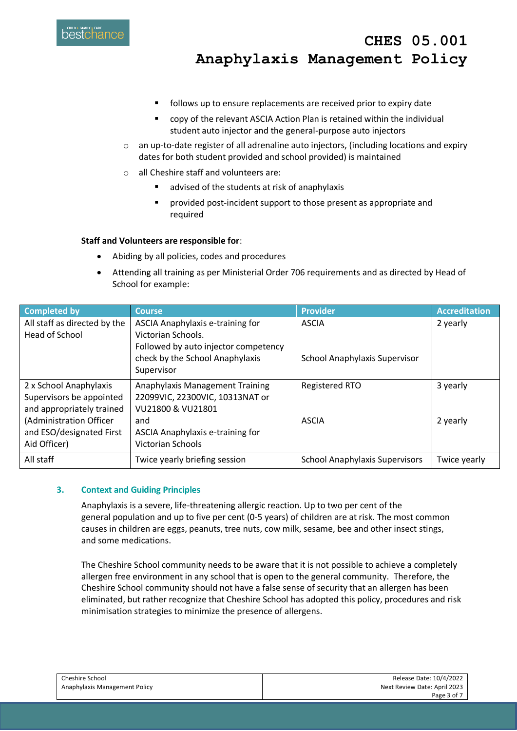

- **follows up to ensure replacements are received prior to expiry date**
- copy of the relevant ASCIA Action Plan is retained within the individual student auto injector and the general-purpose auto injectors
- $\circ$  an up-to-date register of all adrenaline auto injectors, (including locations and expiry dates for both student provided and school provided) is maintained
- o all Cheshire staff and volunteers are:
	- advised of the students at risk of anaphylaxis
	- provided post-incident support to those present as appropriate and required

#### **Staff and Volunteers are responsible for**:

- Abiding by all policies, codes and procedures
- Attending all training as per Ministerial Order 706 requirements and as directed by Head of School for example:

| <b>Completed by</b>          | <b>Course</b>                          | <b>Provider</b>                       | <b>Accreditation</b> |
|------------------------------|----------------------------------------|---------------------------------------|----------------------|
| All staff as directed by the | ASCIA Anaphylaxis e-training for       | <b>ASCIA</b>                          | 2 yearly             |
| Head of School               | Victorian Schools.                     |                                       |                      |
|                              | Followed by auto injector competency   |                                       |                      |
|                              | check by the School Anaphylaxis        | School Anaphylaxis Supervisor         |                      |
|                              | Supervisor                             |                                       |                      |
| 2 x School Anaphylaxis       | <b>Anaphylaxis Management Training</b> | <b>Registered RTO</b>                 | 3 yearly             |
| Supervisors be appointed     | 22099VIC, 22300VIC, 10313NAT or        |                                       |                      |
| and appropriately trained    | VU21800 & VU21801                      |                                       |                      |
| (Administration Officer      | and                                    | <b>ASCIA</b>                          | 2 yearly             |
| and ESO/designated First     | ASCIA Anaphylaxis e-training for       |                                       |                      |
| Aid Officer)                 | Victorian Schools                      |                                       |                      |
| All staff                    | Twice yearly briefing session          | <b>School Anaphylaxis Supervisors</b> | Twice yearly         |

#### **3. Context and Guiding Principles**

Anaphylaxis is a severe, life-threatening allergic reaction. Up to two per cent of the general population and up to five per cent (0-5 years) of children are at risk. The most common causes in children are eggs, peanuts, tree nuts, cow milk, sesame, bee and other insect stings, and some medications.

The Cheshire School community needs to be aware that it is not possible to achieve a completely allergen free environment in any school that is open to the general community. Therefore, the Cheshire School community should not have a false sense of security that an allergen has been eliminated, but rather recognize that Cheshire School has adopted this policy, procedures and risk minimisation strategies to minimize the presence of allergens.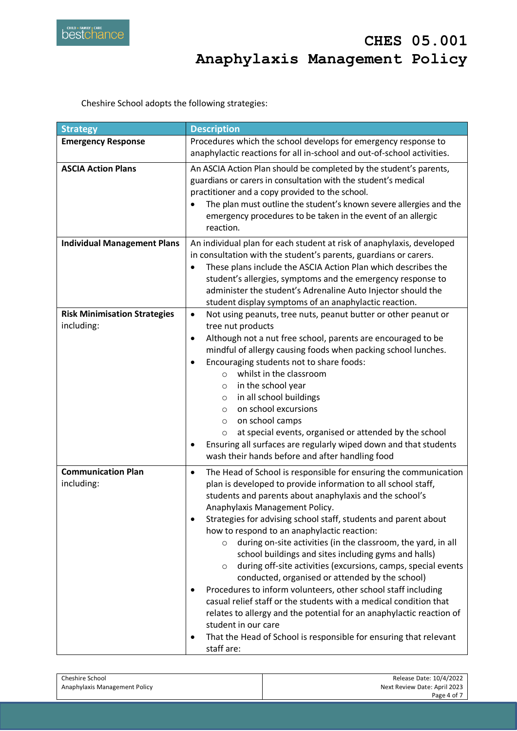

Cheshire School adopts the following strategies:

| <b>Strategy</b>                                   | <b>Description</b>                                                                                                                                                                                                                                                                                                                                                                                                                                                                                                                                                                                                                                                                                                                                                                                                                                                                                                                                                         |
|---------------------------------------------------|----------------------------------------------------------------------------------------------------------------------------------------------------------------------------------------------------------------------------------------------------------------------------------------------------------------------------------------------------------------------------------------------------------------------------------------------------------------------------------------------------------------------------------------------------------------------------------------------------------------------------------------------------------------------------------------------------------------------------------------------------------------------------------------------------------------------------------------------------------------------------------------------------------------------------------------------------------------------------|
| <b>Emergency Response</b>                         | Procedures which the school develops for emergency response to<br>anaphylactic reactions for all in-school and out-of-school activities.                                                                                                                                                                                                                                                                                                                                                                                                                                                                                                                                                                                                                                                                                                                                                                                                                                   |
| <b>ASCIA Action Plans</b>                         | An ASCIA Action Plan should be completed by the student's parents,<br>guardians or carers in consultation with the student's medical<br>practitioner and a copy provided to the school.<br>The plan must outline the student's known severe allergies and the<br>$\bullet$<br>emergency procedures to be taken in the event of an allergic<br>reaction.                                                                                                                                                                                                                                                                                                                                                                                                                                                                                                                                                                                                                    |
| <b>Individual Management Plans</b>                | An individual plan for each student at risk of anaphylaxis, developed<br>in consultation with the student's parents, guardians or carers.<br>These plans include the ASCIA Action Plan which describes the<br>$\bullet$<br>student's allergies, symptoms and the emergency response to<br>administer the student's Adrenaline Auto Injector should the<br>student display symptoms of an anaphylactic reaction.                                                                                                                                                                                                                                                                                                                                                                                                                                                                                                                                                            |
| <b>Risk Minimisation Strategies</b><br>including: | Not using peanuts, tree nuts, peanut butter or other peanut or<br>$\bullet$<br>tree nut products<br>Although not a nut free school, parents are encouraged to be<br>$\bullet$<br>mindful of allergy causing foods when packing school lunches.<br>Encouraging students not to share foods:<br>$\bullet$<br>whilst in the classroom<br>$\circ$<br>in the school year<br>O<br>in all school buildings<br>$\circ$<br>on school excursions<br>$\circ$<br>on school camps<br>$\circ$<br>at special events, organised or attended by the school<br>$\circ$<br>Ensuring all surfaces are regularly wiped down and that students<br>٠<br>wash their hands before and after handling food                                                                                                                                                                                                                                                                                           |
| <b>Communication Plan</b><br>including:           | The Head of School is responsible for ensuring the communication<br>$\bullet$<br>plan is developed to provide information to all school staff,<br>students and parents about anaphylaxis and the school's<br>Anaphylaxis Management Policy.<br>Strategies for advising school staff, students and parent about<br>$\bullet$<br>how to respond to an anaphylactic reaction:<br>during on-site activities (in the classroom, the yard, in all<br>$\circ$<br>school buildings and sites including gyms and halls)<br>during off-site activities (excursions, camps, special events<br>$\circ$<br>conducted, organised or attended by the school)<br>Procedures to inform volunteers, other school staff including<br>casual relief staff or the students with a medical condition that<br>relates to allergy and the potential for an anaphylactic reaction of<br>student in our care<br>That the Head of School is responsible for ensuring that relevant<br>٠<br>staff are: |

| Cheshire School               | Release Date: 10/4/2022      |
|-------------------------------|------------------------------|
| Anaphylaxis Management Policy | Next Review Date: April 2023 |
|                               | Page 4 of 7                  |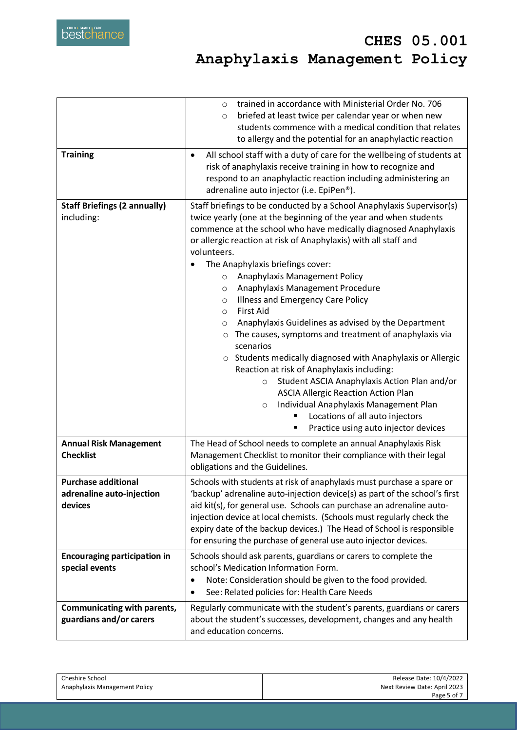|                                                                    | trained in accordance with Ministerial Order No. 706<br>$\circ$<br>briefed at least twice per calendar year or when new<br>$\circ$<br>students commence with a medical condition that relates<br>to allergy and the potential for an anaphylactic reaction                                                                                                                                                                                                                                                                                                                                                                                                                                                                                                                                                                                                                                                                                                                                                                |  |
|--------------------------------------------------------------------|---------------------------------------------------------------------------------------------------------------------------------------------------------------------------------------------------------------------------------------------------------------------------------------------------------------------------------------------------------------------------------------------------------------------------------------------------------------------------------------------------------------------------------------------------------------------------------------------------------------------------------------------------------------------------------------------------------------------------------------------------------------------------------------------------------------------------------------------------------------------------------------------------------------------------------------------------------------------------------------------------------------------------|--|
| <b>Training</b>                                                    | All school staff with a duty of care for the wellbeing of students at<br>$\bullet$<br>risk of anaphylaxis receive training in how to recognize and<br>respond to an anaphylactic reaction including administering an<br>adrenaline auto injector (i.e. EpiPen®).                                                                                                                                                                                                                                                                                                                                                                                                                                                                                                                                                                                                                                                                                                                                                          |  |
| <b>Staff Briefings (2 annually)</b><br>including:                  | Staff briefings to be conducted by a School Anaphylaxis Supervisor(s)<br>twice yearly (one at the beginning of the year and when students<br>commence at the school who have medically diagnosed Anaphylaxis<br>or allergic reaction at risk of Anaphylaxis) with all staff and<br>volunteers.<br>The Anaphylaxis briefings cover:<br>Anaphylaxis Management Policy<br>$\circ$<br>Anaphylaxis Management Procedure<br>O<br>Illness and Emergency Care Policy<br>$\circ$<br><b>First Aid</b><br>$\circ$<br>Anaphylaxis Guidelines as advised by the Department<br>$\circ$<br>The causes, symptoms and treatment of anaphylaxis via<br>$\circ$<br>scenarios<br>o Students medically diagnosed with Anaphylaxis or Allergic<br>Reaction at risk of Anaphylaxis including:<br>Student ASCIA Anaphylaxis Action Plan and/or<br>$\circ$<br><b>ASCIA Allergic Reaction Action Plan</b><br>Individual Anaphylaxis Management Plan<br>$\circ$<br>Locations of all auto injectors<br>٠<br>Practice using auto injector devices<br>٠ |  |
| <b>Annual Risk Management</b><br><b>Checklist</b>                  | The Head of School needs to complete an annual Anaphylaxis Risk<br>Management Checklist to monitor their compliance with their legal<br>obligations and the Guidelines.                                                                                                                                                                                                                                                                                                                                                                                                                                                                                                                                                                                                                                                                                                                                                                                                                                                   |  |
| <b>Purchase additional</b><br>adrenaline auto-injection<br>devices | Schools with students at risk of anaphylaxis must purchase a spare or<br>'backup' adrenaline auto-injection device(s) as part of the school's first<br>aid kit(s), for general use. Schools can purchase an adrenaline auto-<br>injection device at local chemists. (Schools must regularly check the<br>expiry date of the backup devices.) The Head of School is responsible<br>for ensuring the purchase of general use auto injector devices.                                                                                                                                                                                                                                                                                                                                                                                                                                                                                                                                                                         |  |
| <b>Encouraging participation in</b><br>special events              | Schools should ask parents, guardians or carers to complete the<br>school's Medication Information Form.<br>Note: Consideration should be given to the food provided.<br>$\bullet$<br>See: Related policies for: Health Care Needs<br>$\bullet$                                                                                                                                                                                                                                                                                                                                                                                                                                                                                                                                                                                                                                                                                                                                                                           |  |
| Communicating with parents,<br>guardians and/or carers             | Regularly communicate with the student's parents, guardians or carers<br>about the student's successes, development, changes and any health<br>and education concerns.                                                                                                                                                                                                                                                                                                                                                                                                                                                                                                                                                                                                                                                                                                                                                                                                                                                    |  |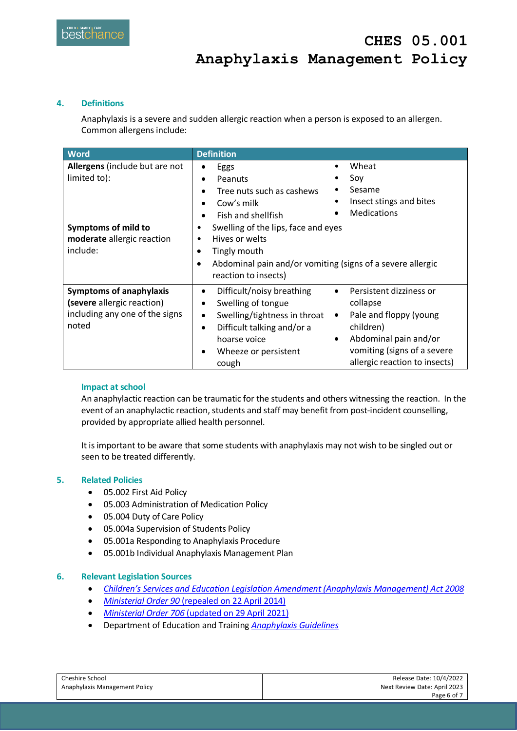## **4. Definitions**

Anaphylaxis is a severe and sudden allergic reaction when a person is exposed to an allergen. Common allergens include:

| <b>Word</b>                                                                                             | <b>Definition</b>                                                                                                                                                                                                                                                                                                                                                                                   |
|---------------------------------------------------------------------------------------------------------|-----------------------------------------------------------------------------------------------------------------------------------------------------------------------------------------------------------------------------------------------------------------------------------------------------------------------------------------------------------------------------------------------------|
| Allergens (include but are not<br>limited to):                                                          | Wheat<br>Eggs<br>Soy<br>Peanuts<br>$\bullet$<br>Sesame<br>Tree nuts such as cashews<br>Insect stings and bites<br>٠<br>Cow's milk<br><b>Medications</b><br>Fish and shellfish                                                                                                                                                                                                                       |
| Symptoms of mild to<br>moderate allergic reaction<br>include:                                           | Swelling of the lips, face and eyes<br>٠<br>Hives or welts<br>٠<br>Tingly mouth<br>Abdominal pain and/or vomiting (signs of a severe allergic<br>reaction to insects)                                                                                                                                                                                                                               |
| <b>Symptoms of anaphylaxis</b><br>(severe allergic reaction)<br>including any one of the signs<br>noted | Difficult/noisy breathing<br>Persistent dizziness or<br>$\bullet$<br>Swelling of tongue<br>collapse<br>$\bullet$<br>Pale and floppy (young<br>Swelling/tightness in throat<br>$\bullet$<br>٠<br>children)<br>Difficult talking and/or a<br>$\bullet$<br>Abdominal pain and/or<br>hoarse voice<br>٠<br>vomiting (signs of a severe<br>Wheeze or persistent<br>allergic reaction to insects)<br>cough |

## **Impact at school**

An anaphylactic reaction can be traumatic for the students and others witnessing the reaction. In the event of an anaphylactic reaction, students and staff may benefit from post-incident counselling, provided by appropriate allied health personnel.

It is important to be aware that some students with anaphylaxis may not wish to be singled out or seen to be treated differently.

## **5. Related Policies**

- 05.002 First Aid Policy
- 05.003 Administration of Medication Policy
- 05.004 Duty of Care Policy
- 05.004a Supervision of Students Policy
- 05.001a Responding to Anaphylaxis Procedure
- 05.001b Individual Anaphylaxis Management Plan

## **6. Relevant Legislation Sources**

- *[Children's Services and Education Legislation Amendment \(Anaphylaxis](https://www.legislation.vic.gov.au/as-made/acts/childrens-services-and-education-legislation-amendment-anaphylaxis-management-act-2008) Management) Act 2008*
- *Ministerial Order 90* [\(repealed on 22 April 2014\)](https://www.education.vic.gov.au/Documents/school/principals/health/anaphylaxisminorder90.pdf)
- *Ministerial Order 706* [\(updated on 29 April 2021\)](https://www.education.vic.gov.au/Documents/school/teachers/health/Anaphylaxis_MinisterialOrder706.pdf)
- Department of Education and Training *[Anaphylaxis Guidelines](https://www.education.vic.gov.au/Documents/school/principals/health/2016_Anaphylaxis_Guidelines_FINAL.pdf)*